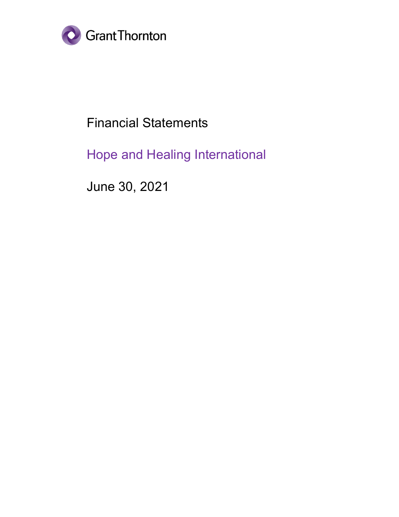

# Financial Statements

# Hope and Healing International

June 30, 2021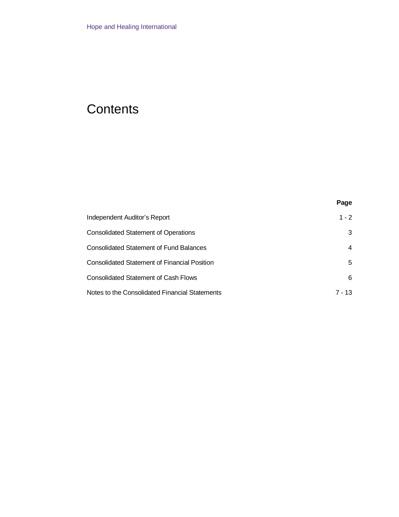# **Contents**

| Independent Auditor's Report                        | 1 - 2          |
|-----------------------------------------------------|----------------|
| <b>Consolidated Statement of Operations</b>         | 3              |
| <b>Consolidated Statement of Fund Balances</b>      | $\overline{4}$ |
| <b>Consolidated Statement of Financial Position</b> | 5              |
| <b>Consolidated Statement of Cash Flows</b>         | 6              |
| Notes to the Consolidated Financial Statements      | 7 - 13         |

**Page**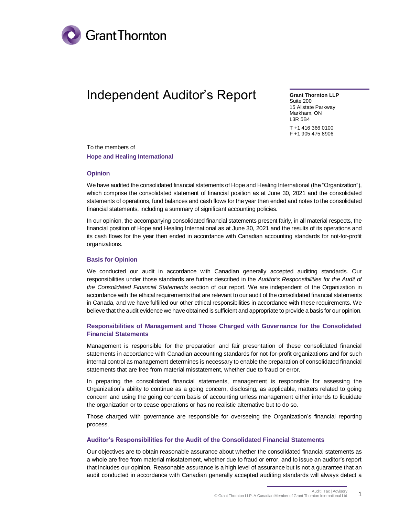

# Independent Auditor's Report

**Grant Thornton LLP** Suite 200 15 Allstate Parkway Markham, ON L3R 5B4 T +1 416 366 0100 F +1 905 475 8906

To the members of **Hope and Healing International**

#### **Opinion**

We have audited the consolidated financial statements of Hope and Healing International (the "Organization"), which comprise the consolidated statement of financial position as at June 30, 2021 and the consolidated statements of operations, fund balances and cash flows for the year then ended and notes to the consolidated financial statements, including a summary of significant accounting policies.

In our opinion, the accompanying consolidated financial statements present fairly, in all material respects, the financial position of Hope and Healing International as at June 30, 2021 and the results of its operations and its cash flows for the year then ended in accordance with Canadian accounting standards for not-for-profit organizations.

#### **Basis for Opinion**

We conducted our audit in accordance with Canadian generally accepted auditing standards. Our responsibilities under those standards are further described in the *Auditor's Responsibilities for the Audit of the Consolidated Financial Statements* section of our report. We are independent of the Organization in accordance with the ethical requirements that are relevant to our audit of the consolidated financial statements in Canada, and we have fulfilled our other ethical responsibilities in accordance with these requirements. We believe that the audit evidence we have obtained is sufficient and appropriate to provide a basis for our opinion.

#### **Responsibilities of Management and Those Charged with Governance for the Consolidated Financial Statements**

Management is responsible for the preparation and fair presentation of these consolidated financial statements in accordance with Canadian accounting standards for not-for-profit organizations and for such internal control as management determines is necessary to enable the preparation of consolidated financial statements that are free from material misstatement, whether due to fraud or error.

In preparing the consolidated financial statements, management is responsible for assessing the Organization's ability to continue as a going concern, disclosing, as applicable, matters related to going concern and using the going concern basis of accounting unless management either intends to liquidate the organization or to cease operations or has no realistic alternative but to do so.

Those charged with governance are responsible for overseeing the Organization's financial reporting process.

#### **Auditor's Responsibilities for the Audit of the Consolidated Financial Statements**

Our objectives are to obtain reasonable assurance about whether the consolidated financial statements as a whole are free from material misstatement, whether due to fraud or error, and to issue an auditor's report that includes our opinion. Reasonable assurance is a high level of assurance but is not a guarantee that an audit conducted in accordance with Canadian generally accepted auditing standards will always detect a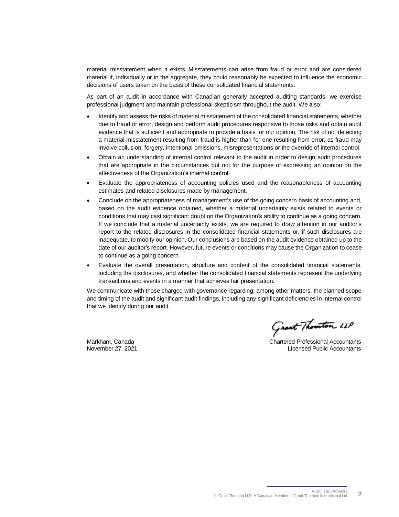material misstatement when it exists. Misstatements can arise from fraud or error and are considered material if, individually or in the aggregate, they could reasonably be expected to influence the economic decisions of users taken on the basis of these consolidated financial statements.

As part of an audit in accordance with Canadian generally accepted auditing standards, we exercise professional judgment and maintain professional skepticism throughout the audit. We also:

- Identify and assess the risks of material misstatement of the consolidated financial statements, whether due to fraud or error, design and perform audit procedures responsive to those risks and obtain audit evidence that is sufficient and appropriate to provide a basis for our opinion. The risk of not detecting a material misstatement resulting from fraud is higher than for one resulting from error, as fraud may involve collusion, forgery, intentional omissions, misrepresentations or the override of internal control.
- Obtain an understanding of internal control relevant to the audit in order to design audit procedures that are appropriate in the circumstances but not for the purpose of expressing an opinion on the effectiveness of the Organization's internal control.
- Evaluate the appropriateness of accounting policies used and the reasonableness of accounting estimates and related disclosures made by management.
- Conclude on the appropriateness of management's use of the going concern basis of accounting and, based on the audit evidence obtained, whether a material uncertainty exists related to events or conditions that may cast significant doubt on the Organization's ability to continue as a going concern. If we conclude that a material uncertainty exists, we are required to draw attention in our auditor's report to the related disclosures in the consolidated financial statements or, if such disclosures are inadequate, to modify our opinion. Our conclusions are based on the audit evidence obtained up to the date of our auditor's report. However, future events or conditions may cause the Organization to cease to continue as a going concern.
- Evaluate the overall presentation, structure and content of the consolidated financial statements, including the disclosures, and whether the consolidated financial statements represent the underlying transactions and events in a manner that achieves fair presentation.

We communicate with those charged with governance regarding, among other matters, the planned scope and timing of the audit and significant audit findings, including any significant deficiencies in internal control that we identify during our audit.

Grant Thouton LLP

Markham, Canada **Chartered Professional Accountants**<br>November 27, 2021 **Chartered Professional Accountants** Licensed Public Accountants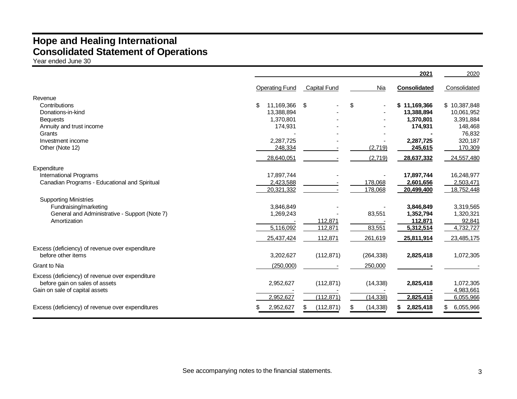# **Hope and Healing International Consolidated Statement of Operations**

Year ended June 30

|                                                  |                       |                     |            | 2021                 | 2020               |
|--------------------------------------------------|-----------------------|---------------------|------------|----------------------|--------------------|
|                                                  | <b>Operating Fund</b> | <b>Capital Fund</b> | Nia        | <b>Consolidated</b>  | Consolidated       |
| Revenue                                          |                       |                     |            |                      |                    |
| Contributions                                    | \$<br>11,169,366      | \$                  | \$         | \$11,169,366         | \$10,387,848       |
| Donations-in-kind                                | 13,388,894            |                     |            | 13,388,894           | 10,061,952         |
| <b>Bequests</b>                                  | 1,370,801             |                     |            | 1,370,801            | 3,391,884          |
| Annuity and trust income                         | 174,931               |                     |            | 174,931              | 148,468            |
| Grants<br>Investment income                      |                       |                     |            |                      | 76,832             |
| Other (Note 12)                                  | 2,287,725<br>248,334  |                     | (2,719)    | 2,287,725<br>245,615 | 320,187<br>170,309 |
|                                                  |                       |                     |            |                      |                    |
|                                                  | 28,640,051            |                     | (2,719)    | 28,637,332           | 24,557,480         |
| Expenditure                                      |                       |                     |            |                      |                    |
| <b>International Programs</b>                    | 17,897,744            |                     |            | 17,897,744           | 16,248,977         |
| Canadian Programs - Educational and Spiritual    | 2,423,588             |                     | 178,068    | 2,601,656            | 2,503,471          |
|                                                  | 20,321,332            |                     | 178,068    | 20,499,400           | 18,752,448         |
| <b>Supporting Ministries</b>                     |                       |                     |            |                      |                    |
| Fundraising/marketing                            | 3,846,849             |                     |            | 3,846,849            | 3,319,565          |
| General and Administrative - Support (Note 7)    | 1,269,243             |                     | 83,551     | 1,352,794            | 1,320,321          |
| Amortization                                     |                       | 112,871             |            | 112,871              | 92,841             |
|                                                  | 5,116,092             | 112,871             | 83,551     | 5,312,514            | 4,732,727          |
|                                                  | 25,437,424            | 112,871             | 261,619    | 25,811,914           | 23,485,175         |
| Excess (deficiency) of revenue over expenditure  |                       |                     |            |                      |                    |
| before other items                               | 3,202,627             | (112, 871)          | (264, 338) | 2,825,418            | 1,072,305          |
| Grant to Nia                                     | (250,000)             |                     | 250,000    |                      |                    |
| Excess (deficiency) of revenue over expenditure  |                       |                     |            |                      |                    |
| before gain on sales of assets                   | 2,952,627             | (112, 871)          | (14, 338)  | 2,825,418            | 1,072,305          |
| Gain on sale of capital assets                   |                       |                     |            |                      | 4,983,661          |
|                                                  | 2,952,627             | (112, 871)          | (14, 338)  | 2,825,418            | 6,055,966          |
| Excess (deficiency) of revenue over expenditures | 2,952,627             | \$<br>(112, 871)    | (14, 338)  | 2,825,418            | 6,055,966          |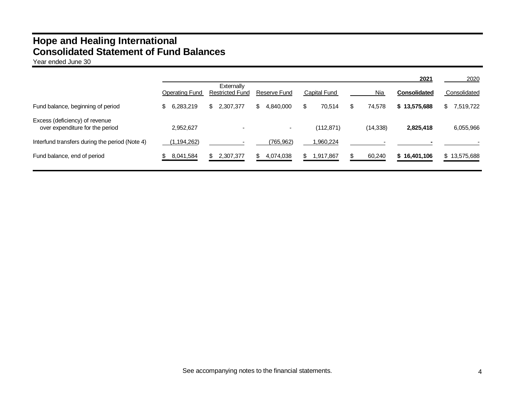# **Hope and Healing International Consolidated Statement of Fund Balances**

Year ended June 30

|                                                                   |                 |                                      |                  |                     |               | 2021                | 2020            |
|-------------------------------------------------------------------|-----------------|--------------------------------------|------------------|---------------------|---------------|---------------------|-----------------|
|                                                                   | Operating Fund  | Externally<br><b>Restricted Fund</b> | Reserve Fund     | <b>Capital Fund</b> | Nia           | <b>Consolidated</b> | Consolidated    |
| Fund balance, beginning of period                                 | 6,283,219<br>\$ | 2,307,377<br>\$                      | 4,840,000<br>\$. | 70,514<br>S         | 74.578<br>\$. | \$13,575,688        | 7,519,722<br>S. |
| Excess (deficiency) of revenue<br>over expenditure for the period | 2,952,627       |                                      | $\blacksquare$   | (112,871)           | (14, 338)     | 2,825,418           | 6,055,966       |
| Interfund transfers during the period (Note 4)                    | (1, 194, 262)   |                                      | <u>(765,962)</u> | ,960,224            |               |                     |                 |
| Fund balance, end of period                                       | 8,041,584       | 2,307,377                            | 4,074,038<br>S   | 1,917,867<br>S      | 60,240        | \$16,401,106        | \$13,575,688    |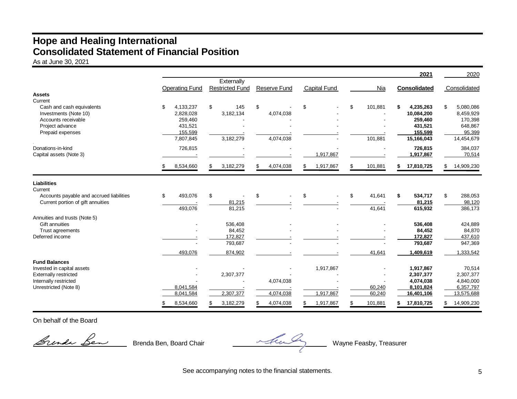# **Hope and Healing International Consolidated Statement of Financial Position**

As at June 30, 2021

|                                                                                                                                      |                                                                            |                                                    |    |                                     |    |                                     |    |                             | 2021                                                                         |    | 2020                                                                      |
|--------------------------------------------------------------------------------------------------------------------------------------|----------------------------------------------------------------------------|----------------------------------------------------|----|-------------------------------------|----|-------------------------------------|----|-----------------------------|------------------------------------------------------------------------------|----|---------------------------------------------------------------------------|
| <b>Assets</b>                                                                                                                        | <b>Operating Fund</b>                                                      | Externally<br><b>Restricted Fund</b>               |    | Reserve Fund                        |    | <b>Capital Fund</b>                 |    | Nia                         | <b>Consolidated</b>                                                          |    | Consolidated                                                              |
| Current<br>Cash and cash equivalents<br>Investments (Note 10)<br>Accounts receivable<br>Project advance<br>Prepaid expenses          | \$<br>4,133,237<br>2,828,028<br>259,460<br>431,521<br>155,599<br>7,807,845 | \$<br>145<br>3,182,134<br>3,182,279                | \$ | 4,074,038<br>4,074,038              | \$ |                                     | \$ | 101,881<br>101,881          | \$<br>4,235,263<br>10,084,200<br>259,460<br>431,521<br>155,599<br>15,166,043 | \$ | 5,080,086<br>8,459,929<br>170,398<br>648,867<br>95,399<br>14,454,679      |
| Donations-in-kind<br>Capital assets (Note 3)                                                                                         | 726,815                                                                    |                                                    |    |                                     |    | 1,917,867                           |    |                             | 726,815<br>1,917,867                                                         |    | 384,037<br>70,514                                                         |
|                                                                                                                                      | 8,534,660                                                                  | 3,182,279                                          | S  | 4,074,038                           | S  | 1,917,867                           | S  | 101,881                     | \$<br>17,810,725                                                             | S  | 14,909,230                                                                |
| <b>Liabilities</b><br>Current<br>Accounts payable and accrued liabilities                                                            | \$<br>493,076                                                              | \$                                                 | \$ |                                     | \$ |                                     | \$ | 41,641                      | \$<br>534,717                                                                | \$ | 288,053                                                                   |
| Current portion of gift annuities                                                                                                    | 493,076                                                                    | 81,215<br>81,215                                   |    |                                     |    |                                     |    | 41,641                      | 81,215<br>615,932                                                            |    | 98,120<br>386,173                                                         |
| Annuities and trusts (Note 5)<br><b>Gift annuities</b><br>Trust agreements<br>Deferred income                                        | $\overline{\phantom{a}}$<br>493,076                                        | 536.408<br>84,452<br>172.827<br>793,687<br>874,902 |    |                                     |    |                                     |    | 41,641                      | 536,408<br>84,452<br>172,827<br>793,687<br>1,409,619                         |    | 424,889<br>84,870<br>437,610<br>947,369<br>1,333,542                      |
| <b>Fund Balances</b><br>Invested in capital assets<br><b>Externally restricted</b><br>Internally restricted<br>Unrestricted (Note 8) | 8,041,584<br>8,041,584<br>8,534,660                                        | 2,307,377<br>2,307,377<br>3,182,279                |    | 4,074,038<br>4,074,038<br>4,074,038 |    | 1,917,867<br>1,917,867<br>1,917,867 |    | 60,240<br>60,240<br>101,881 | 1,917,867<br>2,307,377<br>4,074,038<br>8,101,824<br>16,401,106<br>17,810,725 |    | 70,514<br>2,307,377<br>4,840,000<br>6,357,797<br>13,575,688<br>14,909,230 |

On behalf of the Board

Brenda Ben Brenda Ben, Board Chair Manuel Feasby, Treasurer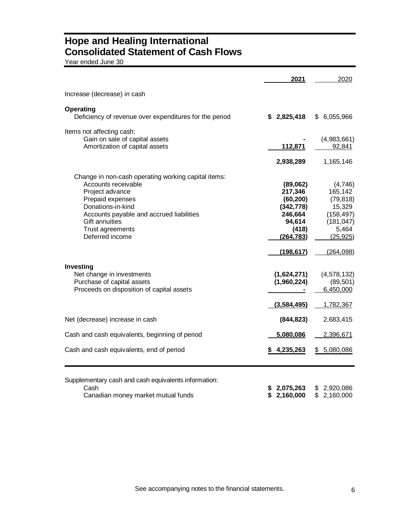### **Hope and Healing International Consolidated Statement of Cash Flows**

Year ended June 30

|                                                                                                                                                                                                                                             | 2021                                                                                       | 2020                                                                                        |
|---------------------------------------------------------------------------------------------------------------------------------------------------------------------------------------------------------------------------------------------|--------------------------------------------------------------------------------------------|---------------------------------------------------------------------------------------------|
| Increase (decrease) in cash                                                                                                                                                                                                                 |                                                                                            |                                                                                             |
| <b>Operating</b><br>Deficiency of revenue over expenditures for the period                                                                                                                                                                  | \$2,825,418                                                                                | \$6,055,966                                                                                 |
| Items not affecting cash:<br>Gain on sale of capital assets<br>Amortization of capital assets                                                                                                                                               | 112,871                                                                                    | (4,983,661)<br>92,841                                                                       |
|                                                                                                                                                                                                                                             | 2,938,289                                                                                  | 1,165,146                                                                                   |
| Change in non-cash operating working capital items:<br>Accounts receivable<br>Project advance<br>Prepaid expenses<br>Donations-in-kind<br>Accounts payable and accrued liabilities<br>Gift annuities<br>Trust agreements<br>Deferred income | (89,062)<br>217,346<br>(60, 200)<br>(342, 778)<br>246,664<br>94,614<br>(418)<br>(264, 783) | (4,746)<br>165,142<br>(79, 818)<br>15,329<br>(158, 497)<br>(181, 047)<br>5,464<br>(25, 925) |
|                                                                                                                                                                                                                                             | (198, 617)                                                                                 | (264, 098)                                                                                  |
| Investing<br>Net change in investments<br>Purchase of capital assets<br>Proceeds on disposition of capital assets                                                                                                                           | (1,624,271)<br>(1,960,224)                                                                 | (4, 578, 132)<br>(89, 501)<br>6,450,000                                                     |
|                                                                                                                                                                                                                                             | (3,584,495)                                                                                | 1,782,367                                                                                   |
| Net (decrease) increase in cash                                                                                                                                                                                                             | (844, 823)                                                                                 | 2,683,415                                                                                   |
| Cash and cash equivalents, beginning of period                                                                                                                                                                                              | 5,080,086                                                                                  | 2,396,671                                                                                   |
| Cash and cash equivalents, end of period                                                                                                                                                                                                    | \$4,235,263                                                                                | 5,080,086<br>\$                                                                             |
| Supplementary cash and cash equivalents information:<br>Cash<br>Canadian money market mutual funds                                                                                                                                          | 2,075,263<br>2,160,000<br>\$                                                               | \$2,920,086<br>\$2,160,000                                                                  |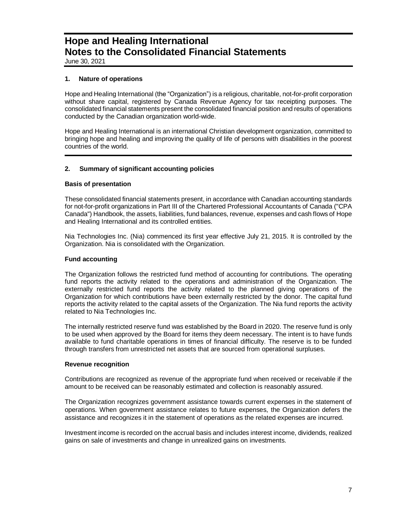June 30, 2021

#### **1. Nature of operations**

Hope and Healing International (the "Organization") is a religious, charitable, not-for-profit corporation without share capital, registered by Canada Revenue Agency for tax receipting purposes. The consolidated financial statements present the consolidated financial position and results of operations conducted by the Canadian organization world-wide.

Hope and Healing International is an international Christian development organization, committed to bringing hope and healing and improving the quality of life of persons with disabilities in the poorest countries of the world.

#### **2. Summary of significant accounting policies**

#### **Basis of presentation**

These consolidated financial statements present, in accordance with Canadian accounting standards for not-for-profit organizations in Part III of the Chartered Professional Accountants of Canada ("CPA Canada") Handbook, the assets, liabilities, fund balances, revenue, expenses and cash flows of Hope and Healing International and its controlled entities.

Nia Technologies Inc. (Nia) commenced its first year effective July 21, 2015. It is controlled by the Organization. Nia is consolidated with the Organization.

#### **Fund accounting**

The Organization follows the restricted fund method of accounting for contributions. The operating fund reports the activity related to the operations and administration of the Organization. The externally restricted fund reports the activity related to the planned giving operations of the Organization for which contributions have been externally restricted by the donor. The capital fund reports the activity related to the capital assets of the Organization. The Nia fund reports the activity related to Nia Technologies Inc.

The internally restricted reserve fund was established by the Board in 2020. The reserve fund is only to be used when approved by the Board for items they deem necessary. The intent is to have funds available to fund charitable operations in times of financial difficulty. The reserve is to be funded through transfers from unrestricted net assets that are sourced from operational surpluses.

#### **Revenue recognition**

Contributions are recognized as revenue of the appropriate fund when received or receivable if the amount to be received can be reasonably estimated and collection is reasonably assured.

The Organization recognizes government assistance towards current expenses in the statement of operations. When government assistance relates to future expenses, the Organization defers the assistance and recognizes it in the statement of operations as the related expenses are incurred.

Investment income is recorded on the accrual basis and includes interest income, dividends, realized gains on sale of investments and change in unrealized gains on investments.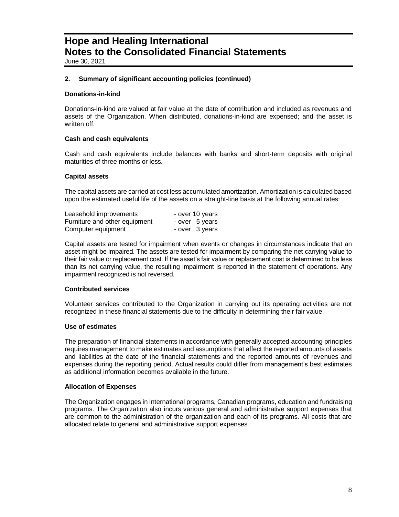June 30, 2021

#### **2. Summary of significant accounting policies (continued)**

#### **Donations-in-kind**

Donations-in-kind are valued at fair value at the date of contribution and included as revenues and assets of the Organization. When distributed, donations-in-kind are expensed; and the asset is written off.

#### **Cash and cash equivalents**

Cash and cash equivalents include balances with banks and short-term deposits with original maturities of three months or less.

#### **Capital assets**

The capital assets are carried at cost less accumulated amortization. Amortization is calculated based upon the estimated useful life of the assets on a straight-line basis at the following annual rates:

| Leasehold improvements        | - over 10 years |
|-------------------------------|-----------------|
| Furniture and other equipment | - over 5 years  |
| Computer equipment            | - over 3 years  |

Capital assets are tested for impairment when events or changes in circumstances indicate that an asset might be impaired. The assets are tested for impairment by comparing the net carrying value to their fair value or replacement cost. If the asset's fair value or replacement cost is determined to be less than its net carrying value, the resulting impairment is reported in the statement of operations. Any impairment recognized is not reversed.

#### **Contributed services**

Volunteer services contributed to the Organization in carrying out its operating activities are not recognized in these financial statements due to the difficulty in determining their fair value.

#### **Use of estimates**

The preparation of financial statements in accordance with generally accepted accounting principles requires management to make estimates and assumptions that affect the reported amounts of assets and liabilities at the date of the financial statements and the reported amounts of revenues and expenses during the reporting period. Actual results could differ from management's best estimates as additional information becomes available in the future.

#### **Allocation of Expenses**

The Organization engages in international programs, Canadian programs, education and fundraising programs. The Organization also incurs various general and administrative support expenses that are common to the administration of the organization and each of its programs. All costs that are allocated relate to general and administrative support expenses.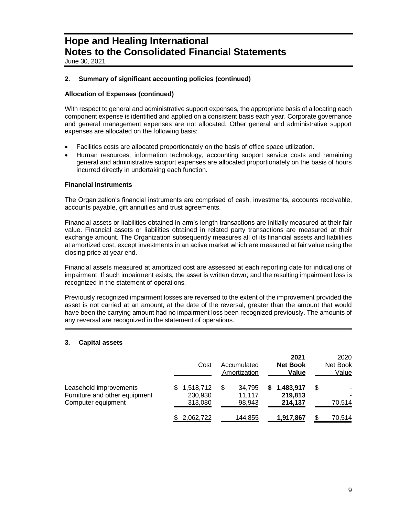June 30, 2021

#### **2. Summary of significant accounting policies (continued)**

#### **Allocation of Expenses (continued)**

With respect to general and administrative support expenses, the appropriate basis of allocating each component expense is identified and applied on a consistent basis each year. Corporate governance and general management expenses are not allocated. Other general and administrative support expenses are allocated on the following basis:

- Facilities costs are allocated proportionately on the basis of office space utilization.
- Human resources, information technology, accounting support service costs and remaining general and administrative support expenses are allocated proportionately on the basis of hours incurred directly in undertaking each function.

#### **Financial instruments**

The Organization's financial instruments are comprised of cash, investments, accounts receivable, accounts payable, gift annuities and trust agreements.

Financial assets or liabilities obtained in arm's length transactions are initially measured at their fair value. Financial assets or liabilities obtained in related party transactions are measured at their exchange amount. The Organization subsequently measures all of its financial assets and liabilities at amortized cost, except investments in an active market which are measured at fair value using the closing price at year end.

Financial assets measured at amortized cost are assessed at each reporting date for indications of impairment. If such impairment exists, the asset is written down; and the resulting impairment loss is recognized in the statement of operations.

Previously recognized impairment losses are reversed to the extent of the improvement provided the asset is not carried at an amount, at the date of the reversal, greater than the amount that would have been the carrying amount had no impairment loss been recognized previously. The amounts of any reversal are recognized in the statement of operations.

#### **3. Capital assets**

|                                                                               | Cost                            | Accumulated<br>Amortization | 2021<br><b>Net Book</b><br><b>Value</b> | 2020<br>Net Book<br>Value |
|-------------------------------------------------------------------------------|---------------------------------|-----------------------------|-----------------------------------------|---------------------------|
| Leasehold improvements<br>Furniture and other equipment<br>Computer equipment | 1,518,712<br>230,930<br>313,080 | 34.795<br>11.117<br>98,943  | 1,483,917<br>S.<br>219,813<br>214,137   | 70,514                    |
|                                                                               | 2,062,722                       | 144,855                     | 1,917,867                               | 70,514                    |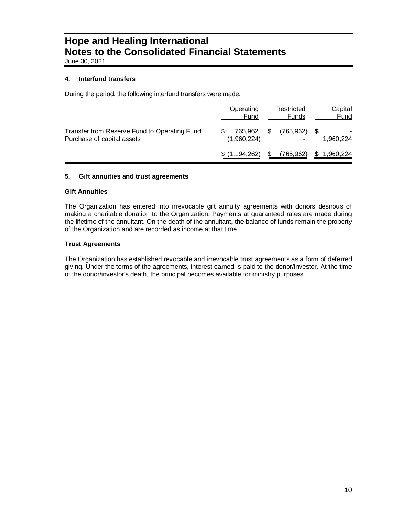June 30, 2021

#### **4. Interfund transfers**

During the period, the following interfund transfers were made:

|                                              | Operating     | Restricted | Capital         |
|----------------------------------------------|---------------|------------|-----------------|
|                                              | Fund          | Funds      | Fund            |
| Transfer from Reserve Fund to Operating Fund | 765.962       | (765, 962) | 1.960.224       |
| Purchase of capital assets                   | (1,960,224)   | S          |                 |
|                                              | \$(1,194,262) | (765, 962) | \$<br>1,960,224 |

#### **5. Gift annuities and trust agreements**

#### **Gift Annuities**

The Organization has entered into irrevocable gift annuity agreements with donors desirous of making a charitable donation to the Organization. Payments at guaranteed rates are made during the lifetime of the annuitant. On the death of the annuitant, the balance of funds remain the property of the Organization and are recorded as income at that time.

#### **Trust Agreements**

The Organization has established revocable and irrevocable trust agreements as a form of deferred giving. Under the terms of the agreements, interest earned is paid to the donor/investor. At the time of the donor/investor's death, the principal becomes available for ministry purposes.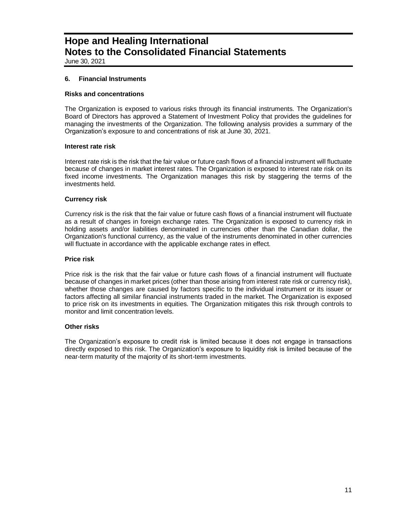June 30, 2021

#### **6. Financial Instruments**

#### **Risks and concentrations**

The Organization is exposed to various risks through its financial instruments. The Organization's Board of Directors has approved a Statement of Investment Policy that provides the guidelines for managing the investments of the Organization. The following analysis provides a summary of the Organization's exposure to and concentrations of risk at June 30, 2021.

#### **Interest rate risk**

Interest rate risk is the risk that the fair value or future cash flows of a financial instrument will fluctuate because of changes in market interest rates. The Organization is exposed to interest rate risk on its fixed income investments. The Organization manages this risk by staggering the terms of the investments held.

#### **Currency risk**

Currency risk is the risk that the fair value or future cash flows of a financial instrument will fluctuate as a result of changes in foreign exchange rates. The Organization is exposed to currency risk in holding assets and/or liabilities denominated in currencies other than the Canadian dollar, the Organization's functional currency, as the value of the instruments denominated in other currencies will fluctuate in accordance with the applicable exchange rates in effect.

#### **Price risk**

Price risk is the risk that the fair value or future cash flows of a financial instrument will fluctuate because of changes in market prices (other than those arising from interest rate risk or currency risk), whether those changes are caused by factors specific to the individual instrument or its issuer or factors affecting all similar financial instruments traded in the market. The Organization is exposed to price risk on its investments in equities. The Organization mitigates this risk through controls to monitor and limit concentration levels.

#### **Other risks**

The Organization's exposure to credit risk is limited because it does not engage in transactions directly exposed to this risk. The Organization's exposure to liquidity risk is limited because of the near-term maturity of the majority of its short-term investments.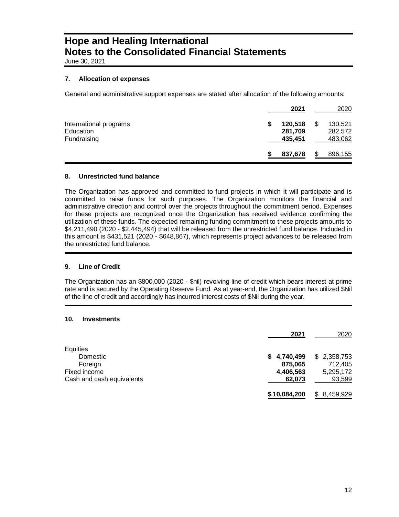June 30, 2021

#### **7. Allocation of expenses**

General and administrative support expenses are stated after allocation of the following amounts:

|                                                    | 2021                          | 2020                          |
|----------------------------------------------------|-------------------------------|-------------------------------|
| International programs<br>Education<br>Fundraising | 120,518<br>281,709<br>435,451 | 130,521<br>282,572<br>483,062 |
|                                                    | 837,678                       | 896,155                       |

#### **8. Unrestricted fund balance**

The Organization has approved and committed to fund projects in which it will participate and is committed to raise funds for such purposes. The Organization monitors the financial and administrative direction and control over the projects throughout the commitment period. Expenses for these projects are recognized once the Organization has received evidence confirming the utilization of these funds. The expected remaining funding commitment to these projects amounts to \$4,211,490 (2020 - \$2,445,494) that will be released from the unrestricted fund balance. Included in this amount is \$431,521 (2020 - \$648,867), which represents project advances to be released from the unrestricted fund balance.

#### **9. Line of Credit**

The Organization has an \$800,000 (2020 - \$nil) revolving line of credit which bears interest at prime rate and is secured by the Operating Reserve Fund. As at year-end, the Organization has utilized \$Nil of the line of credit and accordingly has incurred interest costs of \$Nil during the year.

#### **10. Investments**

|                           | 2021         | 2020        |
|---------------------------|--------------|-------------|
| Equities                  |              |             |
| Domestic                  | \$4,740,499  | \$2,358,753 |
| Foreign                   | 875,065      | 712,405     |
| Fixed income              | 4,406,563    | 5,295,172   |
| Cash and cash equivalents | 62,073       | 93,599      |
|                           | \$10,084,200 | 8,459,929   |